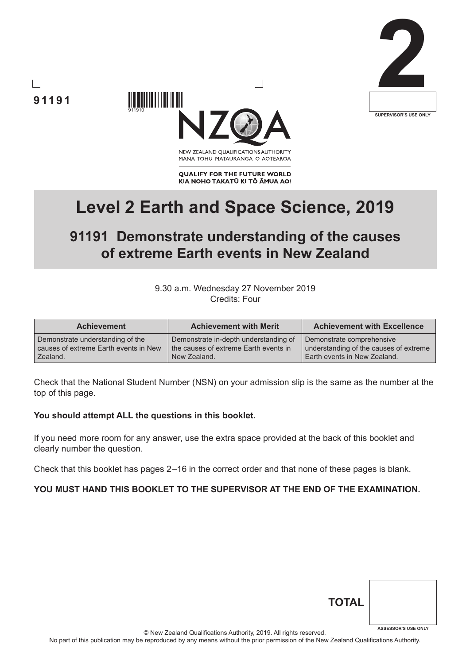



**91191**

MANA TOHU MĀTAURANGA O AOTEAROA

**QUALIFY FOR THE FUTURE WORLD** KIA NOHO TAKATŪ KI TŌ ĀMUA AO!

# **Level 2 Earth and Space Science, 2019**

# **91191 Demonstrate understanding of the causes of extreme Earth events in New Zealand**

#### 9.30 a.m. Wednesday 27 November 2019 Credits: Four

| <b>Achievement</b>                    | <b>Achievement with Merit</b>           | <b>Achievement with Excellence</b>     |
|---------------------------------------|-----------------------------------------|----------------------------------------|
| Demonstrate understanding of the      | Demonstrate in-depth understanding of   | Demonstrate comprehensive              |
| causes of extreme Earth events in New | I the causes of extreme Earth events in | understanding of the causes of extreme |
| Zealand.                              | New Zealand.                            | Earth events in New Zealand.           |

Check that the National Student Number (NSN) on your admission slip is the same as the number at the top of this page.

#### **You should attempt ALL the questions in this booklet.**

If you need more room for any answer, use the extra space provided at the back of this booklet and clearly number the question.

Check that this booklet has pages 2 –16 in the correct order and that none of these pages is blank.

#### **YOU MUST HAND THIS BOOKLET TO THE SUPERVISOR AT THE END OF THE EXAMINATION.**

| <b>TOTAL</b> |                            |
|--------------|----------------------------|
|              | <b>ASSESSOR'S USE ONLY</b> |

© New Zealand Qualifications Authority, 2019. All rights reserved.

No part of this publication may be reproduced by any means without the prior permission of the New Zealand Qualifications Authority.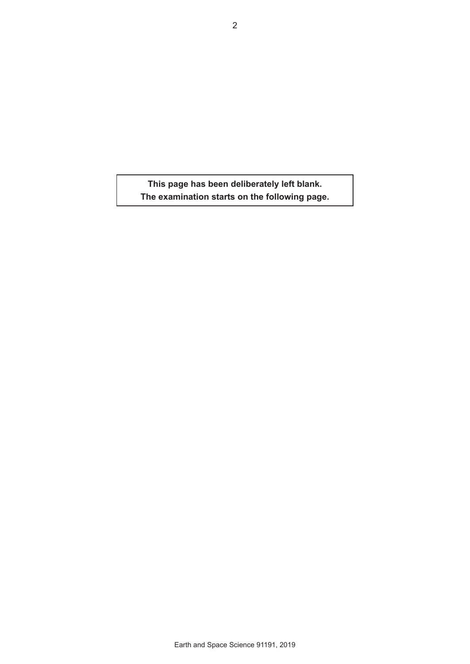**This page has been deliberately left blank. The examination starts on the following page.**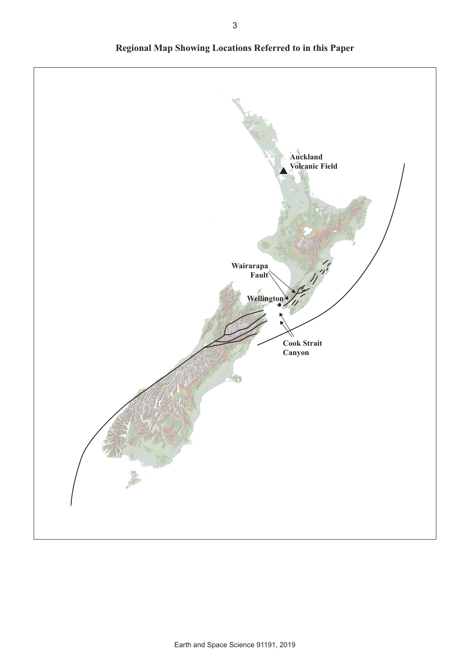

**Regional Map Showing Locations Referred to in this Paper**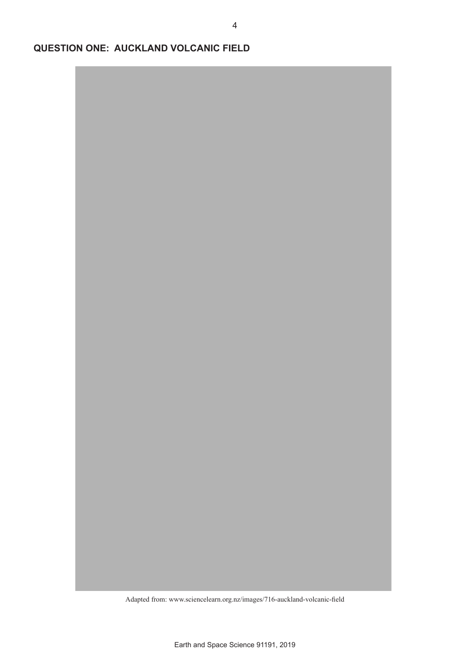**QUESTION ONE: AUCKLAND VOLCANIC FIELD**

Adapted from: www.sciencelearn.org.nz/images/716-auckland-volcanic-field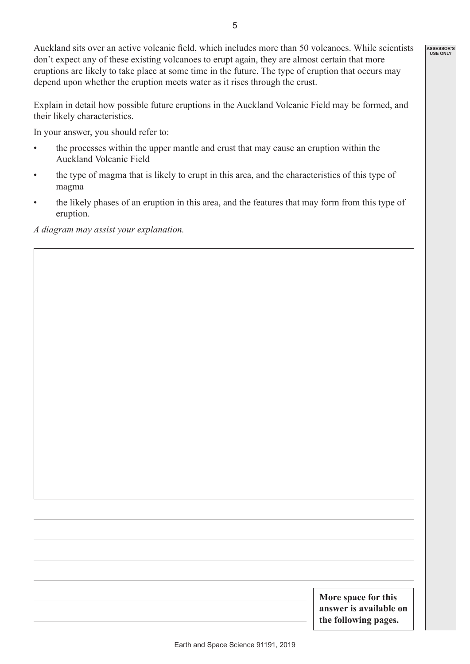Auckland sits over an active volcanic field, which includes more than 50 volcanoes. While scientists don't expect any of these existing volcanoes to erupt again, they are almost certain that more eruptions are likely to take place at some time in the future. The type of eruption that occurs may depend upon whether the eruption meets water as it rises through the crust. **ASSESSOR'S USE ONLY**

Explain in detail how possible future eruptions in the Auckland Volcanic Field may be formed, and their likely characteristics.

In your answer, you should refer to:

- the processes within the upper mantle and crust that may cause an eruption within the Auckland Volcanic Field
- the type of magma that is likely to erupt in this area, and the characteristics of this type of magma
- the likely phases of an eruption in this area, and the features that may form from this type of eruption.

*A diagram may assist your explanation.*

**More space for this answer is available on the following pages.**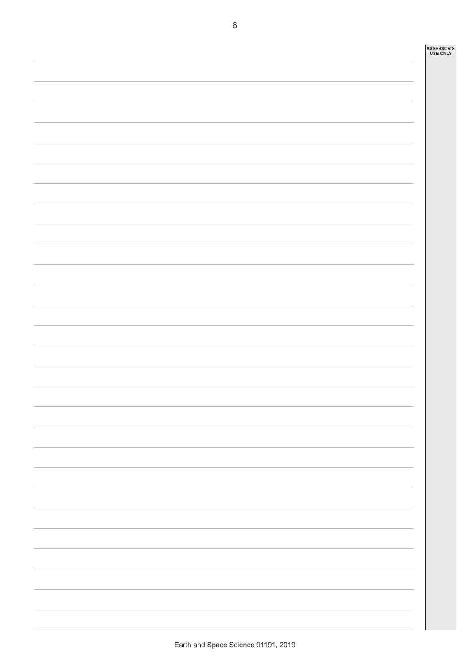| ASSESSOR'S<br>USE ONLY |
|------------------------|
|                        |
|                        |
|                        |
|                        |
|                        |
|                        |
|                        |
|                        |
|                        |
|                        |
|                        |
|                        |
|                        |
|                        |
|                        |
|                        |
|                        |
|                        |
|                        |
|                        |
|                        |
|                        |
|                        |
|                        |
|                        |
|                        |
|                        |
|                        |
|                        |
|                        |
|                        |
|                        |
|                        |
|                        |
|                        |
|                        |
|                        |
|                        |
|                        |
|                        |
|                        |
|                        |
|                        |
|                        |
|                        |
|                        |
|                        |
|                        |
|                        |
|                        |
|                        |
|                        |
|                        |
|                        |
|                        |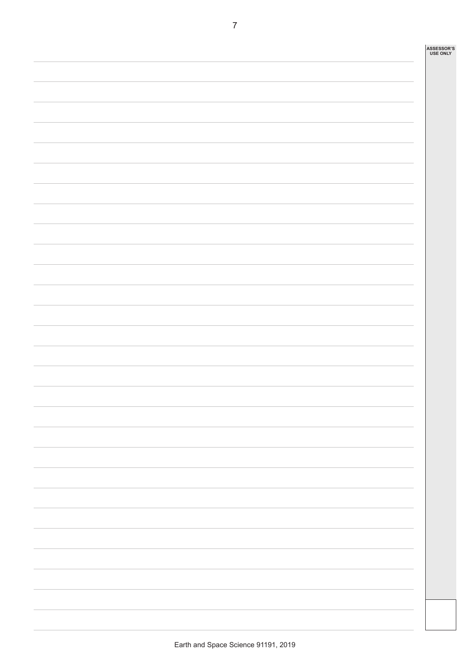| ASSESSOR'S<br>USE ONLY |
|------------------------|
|                        |
|                        |
|                        |
|                        |
|                        |
|                        |
|                        |
|                        |
|                        |
|                        |
|                        |
|                        |
|                        |
|                        |
|                        |
|                        |
|                        |
|                        |
|                        |
|                        |
|                        |
|                        |
|                        |
|                        |
|                        |
|                        |
|                        |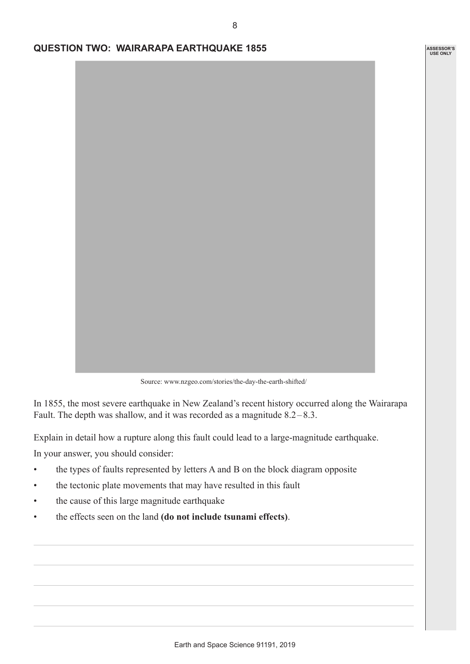**ASSESSOR'S USE ONLY**

## **QUESTION TWO: WAIRARAPA EARTHQUAKE 1855**



Source: www.nzgeo.com/stories/the-day-the-earth-shifted/

In 1855, the most severe earthquake in New Zealand's recent history occurred along the Wairarapa Fault. The depth was shallow, and it was recorded as a magnitude 8.2–8.3.

Explain in detail how a rupture along this fault could lead to a large-magnitude earthquake.

In your answer, you should consider:

- the types of faults represented by letters A and B on the block diagram opposite
- the tectonic plate movements that may have resulted in this fault
- the cause of this large magnitude earthquake
- the effects seen on the land **(do not include tsunami effects)**.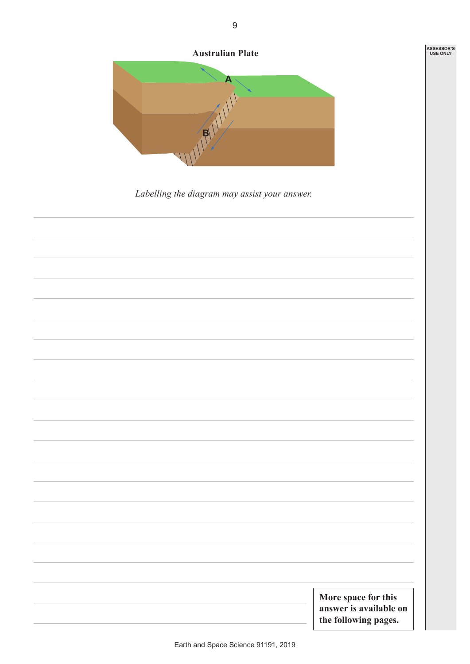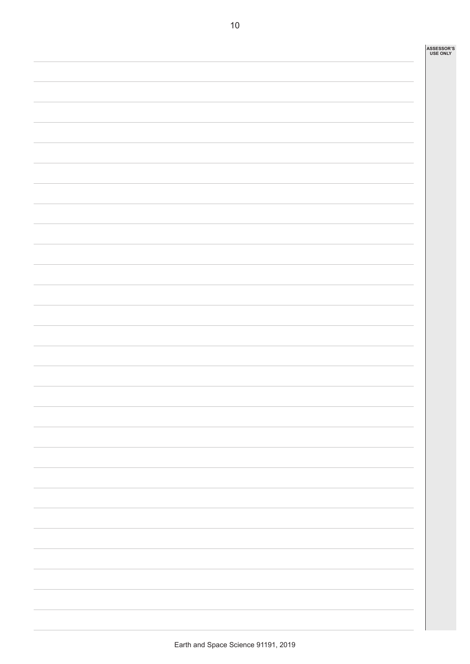| ASSESSOR'S<br>USE ONLY |
|------------------------|
|                        |
|                        |
|                        |
|                        |
|                        |
|                        |
|                        |
|                        |
|                        |
|                        |
|                        |
|                        |
|                        |
|                        |
|                        |
|                        |
|                        |
|                        |
|                        |
|                        |
|                        |
|                        |
|                        |
|                        |
|                        |
|                        |
|                        |
|                        |
|                        |
|                        |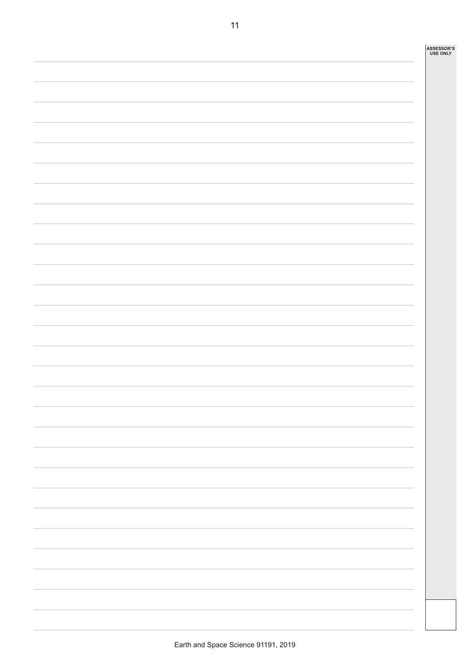| ASSESSOR'S<br><b>USE ONLY</b> |
|-------------------------------|
|                               |
|                               |
|                               |
|                               |
|                               |
|                               |
|                               |
|                               |
|                               |
|                               |
|                               |
|                               |
|                               |
|                               |
|                               |
|                               |
|                               |
|                               |
|                               |
|                               |
|                               |
|                               |
|                               |
|                               |
|                               |
|                               |
|                               |
|                               |
|                               |
|                               |
|                               |
|                               |
|                               |
|                               |
|                               |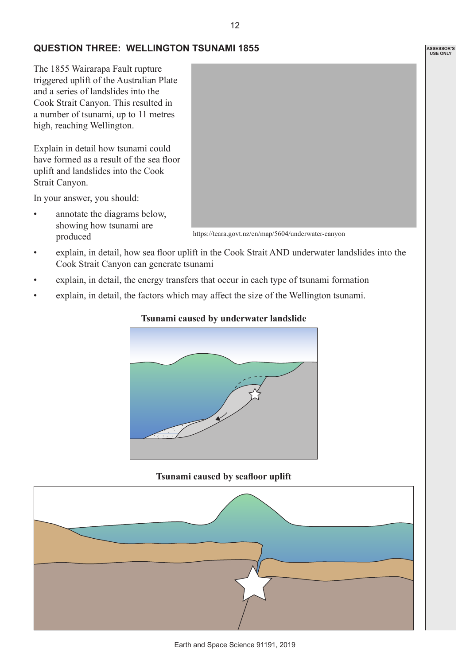## **QUESTION THREE: WELLINGTON TSUNAMI 1855**

The 1855 Wairarapa Fault rupture triggered uplift of the Australian Plate and a series of landslides into the Cook Strait Canyon. This resulted in a number of tsunami, up to 11 metres high, reaching Wellington.

Explain in detail how tsunami could have formed as a result of the sea floor uplift and landslides into the Cook Strait Canyon.

In your answer, you should:

• annotate the diagrams below, showing how tsunami are produced



- explain, in detail, how sea floor uplift in the Cook Strait AND underwater landslides into the Cook Strait Canyon can generate tsunami
- explain, in detail, the energy transfers that occur in each type of tsunami formation
- explain, in detail, the factors which may affect the size of the Wellington tsunami.

#### **Tsunami caused by underwater landslide**



#### **Tsunami caused by seafloor uplift**



**ASSESSOR'S USE ONLY**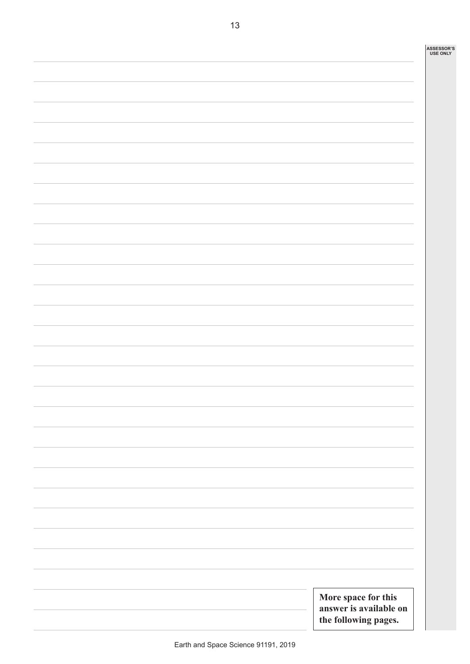|  |  | More space for this<br>answer is available on<br>the following pages. |  |
|--|--|-----------------------------------------------------------------------|--|
|  |  |                                                                       |  |
|  |  |                                                                       |  |
|  |  |                                                                       |  |
|  |  |                                                                       |  |
|  |  |                                                                       |  |
|  |  |                                                                       |  |
|  |  |                                                                       |  |
|  |  |                                                                       |  |
|  |  |                                                                       |  |
|  |  |                                                                       |  |
|  |  |                                                                       |  |
|  |  |                                                                       |  |
|  |  |                                                                       |  |
|  |  |                                                                       |  |
|  |  |                                                                       |  |
|  |  |                                                                       |  |
|  |  |                                                                       |  |
|  |  |                                                                       |  |
|  |  |                                                                       |  |
|  |  |                                                                       |  |
|  |  |                                                                       |  |
|  |  |                                                                       |  |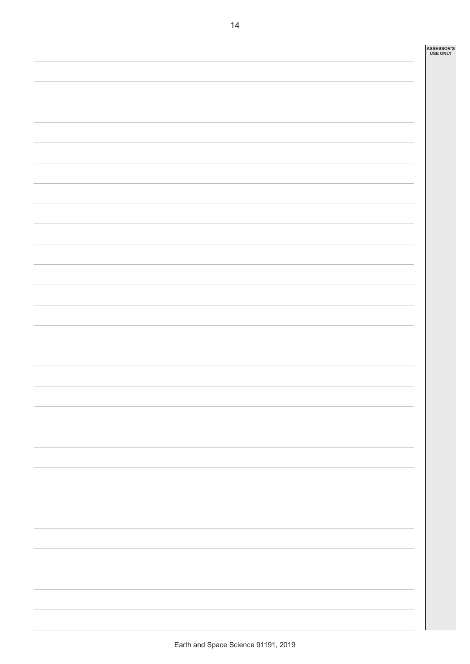| ASSESSOR'S<br>USE ONLY |
|------------------------|
|                        |
|                        |
|                        |
|                        |
|                        |
|                        |
|                        |
|                        |
|                        |
|                        |
|                        |
|                        |
|                        |
|                        |
|                        |
|                        |
|                        |
|                        |
|                        |
|                        |
|                        |
|                        |
|                        |
|                        |
|                        |
|                        |
|                        |
|                        |
|                        |
|                        |
|                        |
|                        |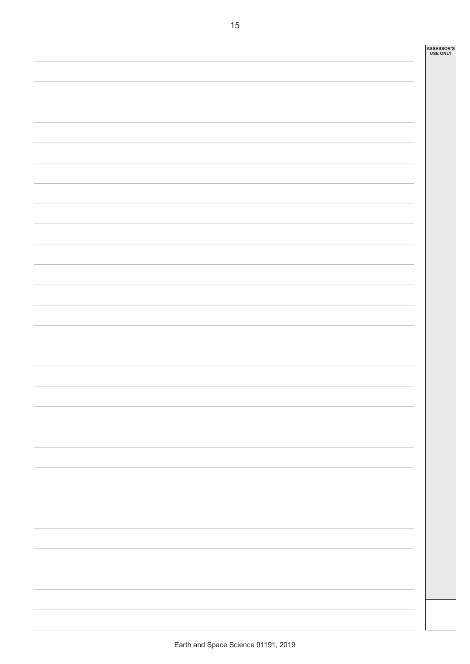| ASSESSOR'S<br>USE ONLY |
|------------------------|
|                        |
|                        |
|                        |
|                        |
|                        |
|                        |
|                        |
|                        |
|                        |
|                        |
|                        |
|                        |
|                        |
|                        |
|                        |
|                        |
|                        |
|                        |
|                        |
|                        |
|                        |
|                        |
|                        |
|                        |
|                        |
|                        |
|                        |
|                        |
|                        |
|                        |
|                        |
|                        |
|                        |
|                        |
|                        |
|                        |